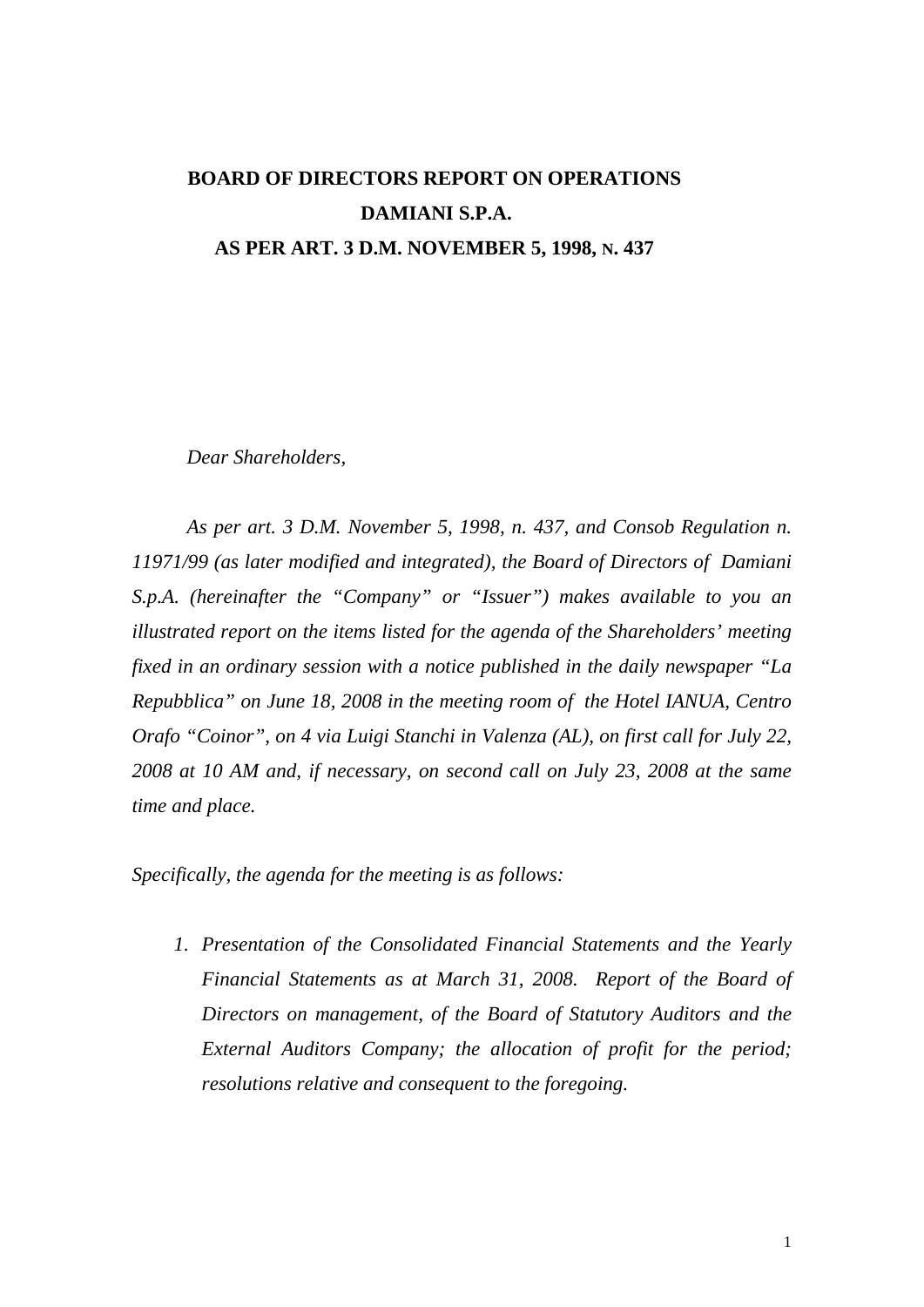## **BOARD OF DIRECTORS REPORT ON OPERATIONS DAMIANI S.P.A. AS PER ART. 3 D.M. NOVEMBER 5, 1998, N. 437**

*Dear Shareholders,* 

*As per art. 3 D.M. November 5, 1998, n. 437, and Consob Regulation n. 11971/99 (as later modified and integrated), the Board of Directors of Damiani S.p.A. (hereinafter the "Company" or "Issuer") makes available to you an illustrated report on the items listed for the agenda of the Shareholders' meeting fixed in an ordinary session with a notice published in the daily newspaper "La Repubblica" on June 18, 2008 in the meeting room of the Hotel IANUA, Centro Orafo "Coinor", on 4 via Luigi Stanchi in Valenza (AL), on first call for July 22, 2008 at 10 AM and, if necessary, on second call on July 23, 2008 at the same time and place.* 

*Specifically, the agenda for the meeting is as follows:* 

*1. Presentation of the Consolidated Financial Statements and the Yearly Financial Statements as at March 31, 2008. Report of the Board of Directors on management, of the Board of Statutory Auditors and the External Auditors Company; the allocation of profit for the period; resolutions relative and consequent to the foregoing.*